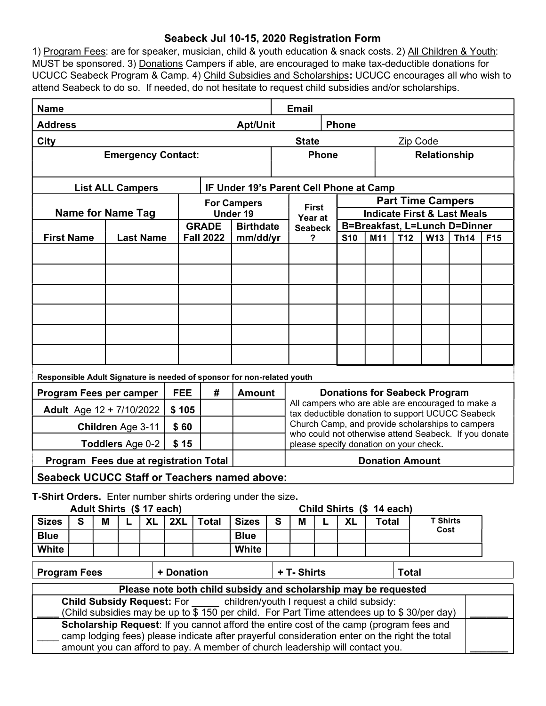## Seabeck Jul 10-15, 2020 Registration Form

1) Program Fees: are for speaker, musician, child & youth education & snack costs. 2) All Children & Youth: MUST be sponsored. 3) Donations Campers if able, are encouraged to make tax-deductible donations for UCUCC Seabeck Program & Camp. 4) Child Subsidies and Scholarships: UCUCC encourages all who wish to attend Seabeck to do so. If needed, do not hesitate to request child subsidies and/or scholarships.

| <b>Email</b><br><b>Name</b>                                                                                                                       |                                       |   |  |            |                                                                  |               |                                                                                               |                     |                                                                                                           |                                                                                                           |           |              |                          |                         |  |  |  |
|---------------------------------------------------------------------------------------------------------------------------------------------------|---------------------------------------|---|--|------------|------------------------------------------------------------------|---------------|-----------------------------------------------------------------------------------------------|---------------------|-----------------------------------------------------------------------------------------------------------|-----------------------------------------------------------------------------------------------------------|-----------|--------------|--------------------------|-------------------------|--|--|--|
| <b>Address</b><br><b>Apt/Unit</b>                                                                                                                 |                                       |   |  |            |                                                                  |               |                                                                                               |                     | <b>Phone</b>                                                                                              |                                                                                                           |           |              |                          |                         |  |  |  |
| <b>City</b><br><b>State</b>                                                                                                                       |                                       |   |  |            |                                                                  |               |                                                                                               |                     |                                                                                                           |                                                                                                           |           | Zip Code     |                          |                         |  |  |  |
| <b>Emergency Contact:</b>                                                                                                                         |                                       |   |  |            |                                                                  |               |                                                                                               |                     | <b>Phone</b><br><b>Relationship</b>                                                                       |                                                                                                           |           |              |                          |                         |  |  |  |
| <b>List ALL Campers</b>                                                                                                                           |                                       |   |  |            |                                                                  |               |                                                                                               |                     | IF Under 19's Parent Cell Phone at Camp                                                                   |                                                                                                           |           |              |                          |                         |  |  |  |
| <b>For Campers</b>                                                                                                                                |                                       |   |  |            |                                                                  |               |                                                                                               |                     | <b>First</b>                                                                                              |                                                                                                           |           |              | <b>Part Time Campers</b> |                         |  |  |  |
| <b>Name for Name Tag</b>                                                                                                                          |                                       |   |  |            |                                                                  | Under 19      |                                                                                               | Year at             |                                                                                                           | <b>Indicate First &amp; Last Meals</b>                                                                    |           |              |                          |                         |  |  |  |
|                                                                                                                                                   |                                       |   |  |            | <b>GRADE</b><br><b>Birthdate</b><br><b>Fall 2022</b><br>mm/dd/yr |               |                                                                                               | <b>Seabeck</b><br>? |                                                                                                           | B=Breakfast, L=Lunch D=Dinner<br>T <sub>12</sub><br><b>S10</b><br>M11<br><b>W13</b><br><b>Th14</b><br>F15 |           |              |                          |                         |  |  |  |
|                                                                                                                                                   | <b>First Name</b><br><b>Last Name</b> |   |  |            |                                                                  |               |                                                                                               |                     |                                                                                                           |                                                                                                           |           |              |                          |                         |  |  |  |
|                                                                                                                                                   |                                       |   |  |            |                                                                  |               |                                                                                               |                     |                                                                                                           |                                                                                                           |           |              |                          |                         |  |  |  |
|                                                                                                                                                   |                                       |   |  |            |                                                                  |               |                                                                                               |                     |                                                                                                           |                                                                                                           |           |              |                          |                         |  |  |  |
|                                                                                                                                                   |                                       |   |  |            |                                                                  |               |                                                                                               |                     |                                                                                                           |                                                                                                           |           |              |                          |                         |  |  |  |
|                                                                                                                                                   |                                       |   |  |            |                                                                  |               |                                                                                               |                     |                                                                                                           |                                                                                                           |           |              |                          |                         |  |  |  |
|                                                                                                                                                   |                                       |   |  |            |                                                                  |               |                                                                                               |                     |                                                                                                           |                                                                                                           |           |              |                          |                         |  |  |  |
|                                                                                                                                                   |                                       |   |  |            |                                                                  |               |                                                                                               |                     |                                                                                                           |                                                                                                           |           |              |                          |                         |  |  |  |
|                                                                                                                                                   |                                       |   |  |            |                                                                  |               |                                                                                               |                     |                                                                                                           |                                                                                                           |           |              |                          |                         |  |  |  |
|                                                                                                                                                   |                                       |   |  |            |                                                                  |               | Responsible Adult Signature is needed of sponsor for non-related youth                        |                     |                                                                                                           |                                                                                                           |           |              |                          |                         |  |  |  |
| Program Fees per camper                                                                                                                           |                                       |   |  | <b>FEE</b> | #                                                                | <b>Amount</b> | <b>Donations for Seabeck Program</b><br>All campers who are able are encouraged to make a     |                     |                                                                                                           |                                                                                                           |           |              |                          |                         |  |  |  |
| <b>Adult</b> Age $12 + \frac{7}{10/2022}$                                                                                                         |                                       |   |  |            |                                                                  | \$105         |                                                                                               |                     | tax deductible donation to support UCUCC Seabeck                                                          |                                                                                                           |           |              |                          |                         |  |  |  |
| Children Age 3-11<br>\$60                                                                                                                         |                                       |   |  |            |                                                                  |               |                                                                                               |                     | Church Camp, and provide scholarships to campers<br>who could not otherwise attend Seabeck. If you donate |                                                                                                           |           |              |                          |                         |  |  |  |
| Toddlers Age 0-2<br>\$15                                                                                                                          |                                       |   |  |            |                                                                  |               |                                                                                               |                     | please specify donation on your check.                                                                    |                                                                                                           |           |              |                          |                         |  |  |  |
| <b>Donation Amount</b><br>Program Fees due at registration Total                                                                                  |                                       |   |  |            |                                                                  |               |                                                                                               |                     |                                                                                                           |                                                                                                           |           |              |                          |                         |  |  |  |
| <b>Seabeck UCUCC Staff or Teachers named above:</b>                                                                                               |                                       |   |  |            |                                                                  |               |                                                                                               |                     |                                                                                                           |                                                                                                           |           |              |                          |                         |  |  |  |
| T-Shirt Orders. Enter number shirts ordering under the size.                                                                                      |                                       |   |  |            |                                                                  |               |                                                                                               |                     |                                                                                                           |                                                                                                           |           |              |                          |                         |  |  |  |
| Adult Shirts (\$ 17 each)<br>Child Shirts (\$ 14 each)                                                                                            |                                       |   |  |            |                                                                  |               |                                                                                               |                     |                                                                                                           |                                                                                                           |           |              |                          |                         |  |  |  |
| <b>Sizes</b>                                                                                                                                      | S                                     | M |  | <b>XL</b>  | 2XL                                                              | <b>Total</b>  | <b>Sizes</b>                                                                                  | S                   | M                                                                                                         | L                                                                                                         | <b>XL</b> | <b>Total</b> |                          | <b>T Shirts</b><br>Cost |  |  |  |
| <b>Blue</b><br><b>White</b>                                                                                                                       |                                       |   |  |            |                                                                  |               | <b>Blue</b><br>White                                                                          |                     |                                                                                                           |                                                                                                           |           |              |                          |                         |  |  |  |
|                                                                                                                                                   |                                       |   |  |            |                                                                  |               |                                                                                               |                     |                                                                                                           |                                                                                                           |           |              |                          |                         |  |  |  |
| + Donation<br>+ T- Shirts<br><b>Total</b><br><b>Program Fees</b>                                                                                  |                                       |   |  |            |                                                                  |               |                                                                                               |                     |                                                                                                           |                                                                                                           |           |              |                          |                         |  |  |  |
| Please note both child subsidy and scholarship may be requested<br>children/youth I request a child subsidy:<br><b>Child Subsidy Request: For</b> |                                       |   |  |            |                                                                  |               |                                                                                               |                     |                                                                                                           |                                                                                                           |           |              |                          |                         |  |  |  |
|                                                                                                                                                   |                                       |   |  |            |                                                                  |               | (Child subsidies may be up to \$150 per child. For Part Time attendees up to \$30/per day)    |                     |                                                                                                           |                                                                                                           |           |              |                          |                         |  |  |  |
|                                                                                                                                                   |                                       |   |  |            |                                                                  |               | Scholarship Request: If you cannot afford the entire cost of the camp (program fees and       |                     |                                                                                                           |                                                                                                           |           |              |                          |                         |  |  |  |
|                                                                                                                                                   |                                       |   |  |            |                                                                  |               | camp lodging fees) please indicate after prayerful consideration enter on the right the total |                     |                                                                                                           |                                                                                                           |           |              |                          |                         |  |  |  |
| amount you can afford to pay. A member of church leadership will contact you.                                                                     |                                       |   |  |            |                                                                  |               |                                                                                               |                     |                                                                                                           |                                                                                                           |           |              |                          |                         |  |  |  |